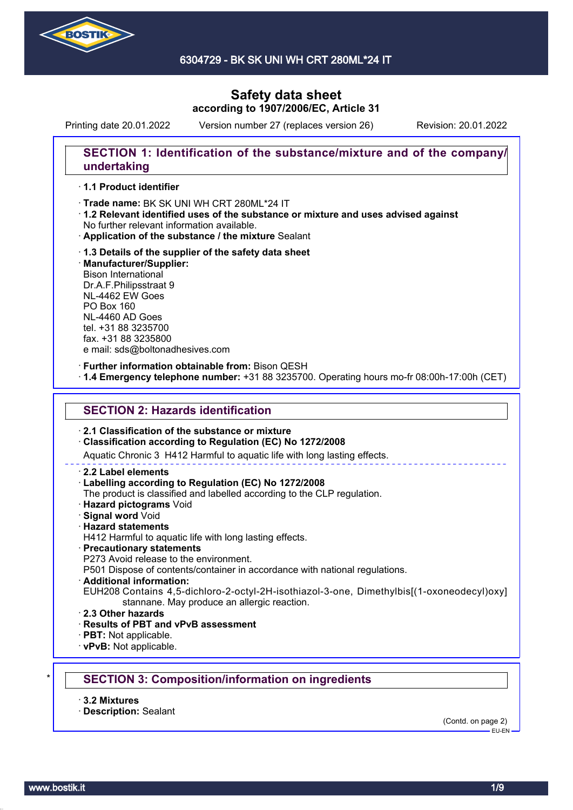

6304729 - BK SK UNI WH CRT 280ML\*24 IT

# **Safety data sheet according to 1907/2006/EC, Article 31**

Printing date 20.01.2022 Version number 27 (replaces version 26) Revision: 20.01.2022

## **SECTION 1: Identification of the substance/mixture and of the company/ undertaking**

### · **1.1 Product identifier**

· Trade name: BK SK UNI WH CRT 280ML\*24 IT

- · **1.2 Relevant identified uses of the substance or mixture and uses advised against** No further relevant information available.
- · **Application of the substance / the mixture** Sealant
- · **1.3 Details of the supplier of the safety data sheet** · **Manufacturer/Supplier:** Bison International Dr.A.F.Philipsstraat 9 NL-4462 EW Goes PO Box 160 NL-4460 AD Goes tel. +31 88 3235700 fax. +31 88 3235800 e mail: sds@boltonadhesives.com

#### · **Further information obtainable from:** Bison QESH

· **1.4 Emergency telephone number:** +31 88 3235700. Operating hours mo-fr 08:00h-17:00h (CET)

### **SECTION 2: Hazards identification**

#### · **2.1 Classification of the substance or mixture**

### · **Classification according to Regulation (EC) No 1272/2008**

Aquatic Chronic 3 H412 Harmful to aquatic life with long lasting effects.

#### · **2.2 Label elements**

#### · **Labelling according to Regulation (EC) No 1272/2008**

The product is classified and labelled according to the CLP regulation.

- · **Hazard pictograms** Void
- · **Signal word** Void
- · **Hazard statements**
- H412 Harmful to aquatic life with long lasting effects.
- · **Precautionary statements**
- P273 Avoid release to the environment.

P501 Dispose of contents/container in accordance with national regulations.

- · **Additional information:**
- EUH208 Contains 4,5-dichloro-2-octyl-2H-isothiazol-3-one, Dimethylbis[(1-oxoneodecyl)oxy] stannane. May produce an allergic reaction.
- · **2.3 Other hazards**
- · **Results of PBT and vPvB assessment**
- · **PBT:** Not applicable.
- · **vPvB:** Not applicable.

### \* **SECTION 3: Composition/information on ingredients**

- · **3.2 Mixtures**
- · **Description:** Sealant

(Contd. on page 2)  $-$ EH-EN-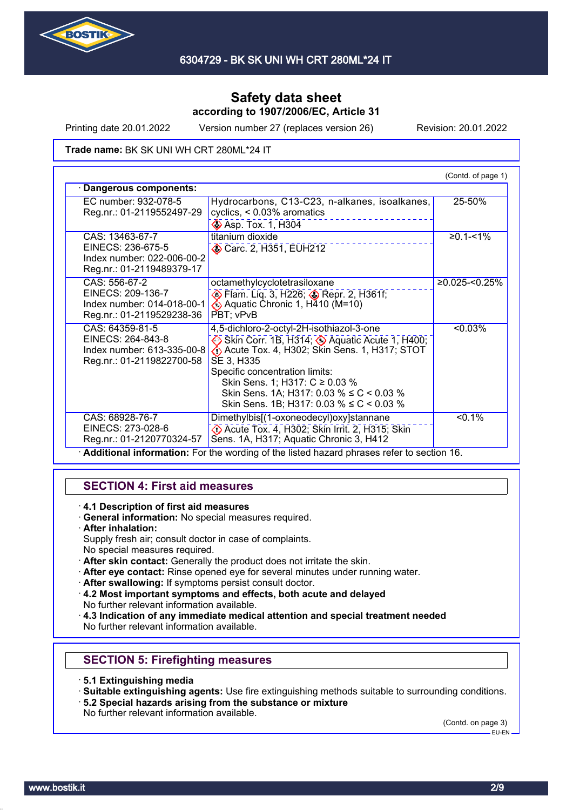

Printing date 20.01.2022 Version number 27 (replaces version 26) Revision: 20.01.2022

Trade name: BK SK UNI WH CRT 280ML\*24 IT

|                                                                                                 |                                                                                                                                                                                                                                                                                                                             | (Contd. of page 1) |
|-------------------------------------------------------------------------------------------------|-----------------------------------------------------------------------------------------------------------------------------------------------------------------------------------------------------------------------------------------------------------------------------------------------------------------------------|--------------------|
| Dangerous components:                                                                           |                                                                                                                                                                                                                                                                                                                             |                    |
| EC number: 932-078-5<br>Reg.nr.: 01-2119552497-29                                               | Hydrocarbons, C13-C23, n-alkanes, isoalkanes,<br>cyclics, < 0.03% aromatics<br><b>Asp. Tox. 1, H304</b>                                                                                                                                                                                                                     | 25-50%             |
| CAS: 13463-67-7<br>EINECS: 236-675-5<br>Index number: 022-006-00-2<br>Reg.nr.: 01-2119489379-17 | titanium dioxide<br>Carc. 2, H351, EUH212                                                                                                                                                                                                                                                                                   | $≥0.1 - 1%$        |
| CAS: 556-67-2<br>EINECS: 209-136-7<br>Index number: 014-018-00-1<br>Reg.nr.: 01-2119529238-36   | octamethylcyclotetrasiloxane<br><b>Elam.</b> Liq. 3, H226; <b>Bridge Repr. 2, H361f</b> ;<br>Aquatic Chronic 1, $H\overline{4}10$ (M=10)<br>PBT: vPvB                                                                                                                                                                       | ≥0.025-<0.25%      |
| CAS: 64359-81-5<br>EINECS: 264-843-8<br>Index number: 613-335-00-8<br>Reg.nr.: 01-2119822700-58 | 4,5-dichloro-2-octyl-2H-isothiazol-3-one<br>Skin Corr. 1B, H314; Aquatic Acute 1, H400;<br>Acute Tox. 4, H302; Skin Sens. 1, H317; STOT<br>SE 3, H335<br>Specific concentration limits:<br>Skin Sens. 1; H317: C ≥ 0.03 %<br>Skin Sens. 1A; H317: 0.03 % $\leq C$ < 0.03 %<br>Skin Sens. 1B; H317: 0.03 % $\leq C$ < 0.03 % | $< 0.03\%$         |
| CAS: 68928-76-7<br>EINECS: 273-028-6<br>Reg.nr.: 01-2120770324-57                               | Dimethylbis[(1-oxoneodecyl)oxy]stannane<br>Decute Tox. 4, H302; Skin Irrit. 2, H315; Skin<br>Sens. 1A, H317; Aquatic Chronic 3, H412                                                                                                                                                                                        | $< 0.1\%$          |

· **Additional information:** For the wording of the listed hazard phrases refer to section 16.

## **SECTION 4: First aid measures**

· **4.1 Description of first aid measures**

- · **General information:** No special measures required.
- · **After inhalation:**

Supply fresh air; consult doctor in case of complaints. No special measures required.

- · **After skin contact:** Generally the product does not irritate the skin.
- · **After eye contact:** Rinse opened eye for several minutes under running water.
- After swallowing: If symptoms persist consult doctor.
- · **4.2 Most important symptoms and effects, both acute and delayed** No further relevant information available.
- · **4.3 Indication of any immediate medical attention and special treatment needed** No further relevant information available.

# **SECTION 5: Firefighting measures**

- · **5.1 Extinguishing media**
- · **Suitable extinguishing agents:** Use fire extinguishing methods suitable to surrounding conditions.
- · **5.2 Special hazards arising from the substance or mixture**
- No further relevant information available.

(Contd. on page 3) EU-EN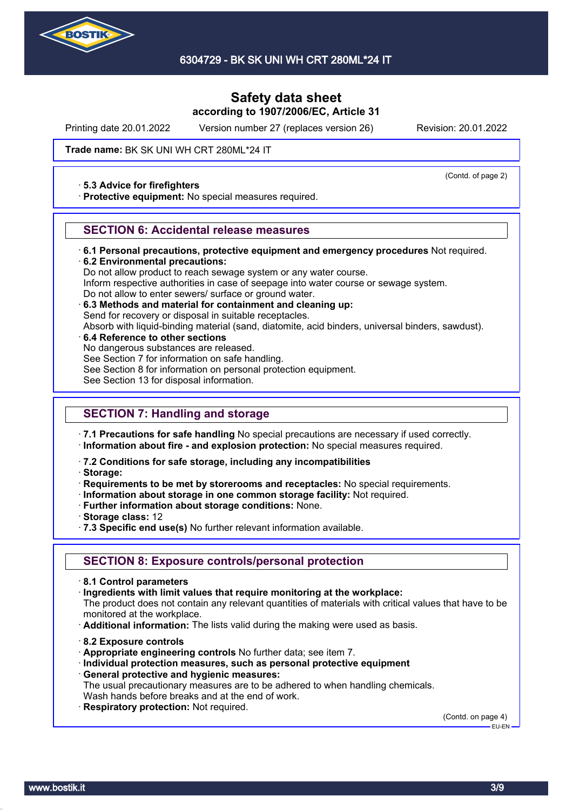

Printing date 20.01.2022 Version number 27 (replaces version 26) Revision: 20.01.2022

(Contd. of page 2)

#### Trade name: BK SK UNI WH CRT 280ML\*24 IT

#### · **5.3 Advice for firefighters**

· **Protective equipment:** No special measures required.

### **SECTION 6: Accidental release measures**

- · **6.1 Personal precautions, protective equipment and emergency procedures** Not required.
- · **6.2 Environmental precautions:**

Do not allow product to reach sewage system or any water course.

Inform respective authorities in case of seepage into water course or sewage system.

- Do not allow to enter sewers/ surface or ground water.
- · **6.3 Methods and material for containment and cleaning up:**

Send for recovery or disposal in suitable receptacles.

Absorb with liquid-binding material (sand, diatomite, acid binders, universal binders, sawdust).

· **6.4 Reference to other sections**

No dangerous substances are released.

See Section 7 for information on safe handling.

See Section 8 for information on personal protection equipment.

See Section 13 for disposal information.

## **SECTION 7: Handling and storage**

· **7.1 Precautions for safe handling** No special precautions are necessary if used correctly.

- · **Information about fire and explosion protection:** No special measures required.
- · **7.2 Conditions for safe storage, including any incompatibilities**
- · **Storage:**
- · **Requirements to be met by storerooms and receptacles:** No special requirements.
- · **Information about storage in one common storage facility:** Not required.
- · **Further information about storage conditions:** None.
- · **Storage class:** 12
- · **7.3 Specific end use(s)** No further relevant information available.

## **SECTION 8: Exposure controls/personal protection**

- · **8.1 Control parameters**
- · **Ingredients with limit values that require monitoring at the workplace:**

The product does not contain any relevant quantities of materials with critical values that have to be monitored at the workplace.

- · **Additional information:** The lists valid during the making were used as basis.
- · **8.2 Exposure controls**
- · **Appropriate engineering controls** No further data; see item 7.
- · **Individual protection measures, such as personal protective equipment**
- · **General protective and hygienic measures:**

The usual precautionary measures are to be adhered to when handling chemicals. Wash hands before breaks and at the end of work.

· **Respiratory protection:** Not required.

(Contd. on page 4) EU-EN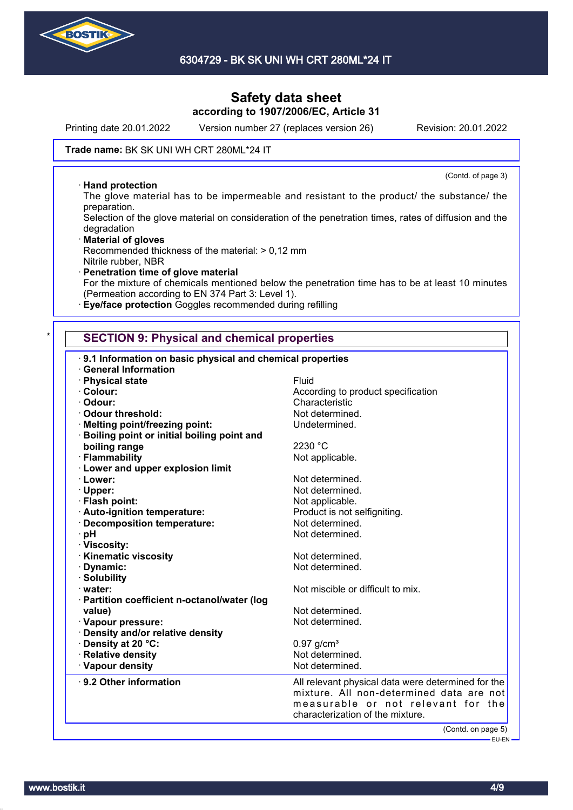

Printing date 20.01.2022 Version number 27 (replaces version 26) Revision: 20.01.2022

(Contd. of page 3)

#### Trade name: BK SK UNI WH CRT 280ML\*24 IT

### · **Hand protection**

The glove material has to be impermeable and resistant to the product/ the substance/ the preparation.

Selection of the glove material on consideration of the penetration times, rates of diffusion and the degradation

· **Material of gloves** Recommended thickness of the material: > 0,12 mm Nitrile rubber, NBR

· **Penetration time of glove material** For the mixture of chemicals mentioned below the penetration time has to be at least 10 minutes (Permeation according to EN 374 Part 3: Level 1).

· **Eye/face protection** Goggles recommended during refilling

## **SECTION 9: Physical and chemical properties**

| 9.1 Information on basic physical and chemical properties                       |                                                                                                                                                                          |  |
|---------------------------------------------------------------------------------|--------------------------------------------------------------------------------------------------------------------------------------------------------------------------|--|
| <b>General Information</b>                                                      | Fluid                                                                                                                                                                    |  |
| · Physical state<br>· Colour:                                                   | According to product specification                                                                                                                                       |  |
| · Odour:                                                                        | Characteristic                                                                                                                                                           |  |
| · Odour threshold:                                                              | Not determined.                                                                                                                                                          |  |
|                                                                                 | Undetermined.                                                                                                                                                            |  |
| · Melting point/freezing point:<br>· Boiling point or initial boiling point and |                                                                                                                                                                          |  |
| boiling range                                                                   | 2230 °C                                                                                                                                                                  |  |
| · Flammability                                                                  |                                                                                                                                                                          |  |
| <b>Lower and upper explosion limit</b>                                          | Not applicable.                                                                                                                                                          |  |
| · Lower:                                                                        | Not determined.                                                                                                                                                          |  |
|                                                                                 | Not determined.                                                                                                                                                          |  |
| · Upper:<br>· Flash point:                                                      | Not applicable.                                                                                                                                                          |  |
|                                                                                 |                                                                                                                                                                          |  |
| · Auto-ignition temperature:                                                    | Product is not selfigniting.<br>Not determined.                                                                                                                          |  |
| · Decomposition temperature:                                                    |                                                                                                                                                                          |  |
| · pH                                                                            | Not determined.                                                                                                                                                          |  |
| · Viscosity:                                                                    | Not determined.                                                                                                                                                          |  |
| <b>Kinematic viscosity</b>                                                      | Not determined.                                                                                                                                                          |  |
| · Dynamic:<br>· Solubility                                                      |                                                                                                                                                                          |  |
|                                                                                 | Not miscible or difficult to mix.                                                                                                                                        |  |
| water:                                                                          |                                                                                                                                                                          |  |
| · Partition coefficient n-octanol/water (log                                    | Not determined.                                                                                                                                                          |  |
| value)                                                                          | Not determined.                                                                                                                                                          |  |
| · Vapour pressure:                                                              |                                                                                                                                                                          |  |
| · Density and/or relative density                                               |                                                                                                                                                                          |  |
| · Density at 20 °C:<br>· Relative density                                       | $0.97$ g/cm <sup>3</sup><br>Not determined.                                                                                                                              |  |
|                                                                                 | Not determined.                                                                                                                                                          |  |
| · Vapour density                                                                |                                                                                                                                                                          |  |
| 9.2 Other information                                                           | All relevant physical data were determined for the<br>mixture. All non-determined data are not<br>measurable or not relevant for the<br>characterization of the mixture. |  |
|                                                                                 | (Contd. on page 5)                                                                                                                                                       |  |
|                                                                                 | - EU-EN ·                                                                                                                                                                |  |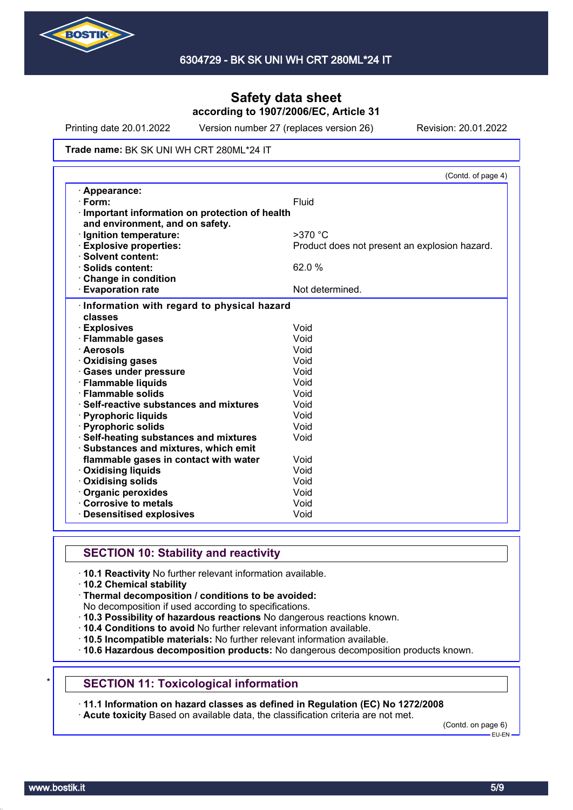

Printing date 20.01.2022 Version number 27 (replaces version 26) Revision: 20.01.2022

#### Trade name: BK SK UNI WH CRT 280ML\*24 IT

|                                                                                  | (Contd. of page 4)                            |
|----------------------------------------------------------------------------------|-----------------------------------------------|
| · Appearance:                                                                    |                                               |
| $\cdot$ Form:                                                                    | Fluid                                         |
| Important information on protection of health<br>and environment, and on safety. |                                               |
| · Ignition temperature:                                                          | $>370$ °C                                     |
| <b>Explosive properties:</b>                                                     | Product does not present an explosion hazard. |
| · Solvent content:                                                               |                                               |
| · Solids content:                                                                | 62.0 %                                        |
| <b>Change in condition</b>                                                       |                                               |
| <b>Evaporation rate</b>                                                          | Not determined.                               |
| Information with regard to physical hazard                                       |                                               |
| classes                                                                          |                                               |
| · Explosives                                                                     | Void                                          |
| · Flammable gases                                                                | Void                                          |
| · Aerosols                                                                       | Void                                          |
| · Oxidising gases                                                                | Void                                          |
| · Gases under pressure                                                           | Void                                          |
| · Flammable liquids                                                              | Void                                          |
| · Flammable solids                                                               | Void                                          |
| · Self-reactive substances and mixtures                                          | Void                                          |
| · Pyrophoric liquids                                                             | Void                                          |
| · Pyrophoric solids                                                              | Void                                          |
| · Self-heating substances and mixtures                                           | Void                                          |
| · Substances and mixtures, which emit                                            |                                               |
| flammable gases in contact with water                                            | Void                                          |
| · Oxidising liquids                                                              | Void                                          |
| · Oxidising solids                                                               | Void                                          |
| · Organic peroxides                                                              | Void                                          |
| Corrosive to metals                                                              | Void                                          |
| <b>Desensitised explosives</b>                                                   | Void                                          |

## **SECTION 10: Stability and reactivity**

- · **10.1 Reactivity** No further relevant information available.
- · **10.2 Chemical stability**
- · **Thermal decomposition / conditions to be avoided:**
- No decomposition if used according to specifications.
- · **10.3 Possibility of hazardous reactions** No dangerous reactions known.
- · **10.4 Conditions to avoid** No further relevant information available.
- · **10.5 Incompatible materials:** No further relevant information available.
- · **10.6 Hazardous decomposition products:** No dangerous decomposition products known.

### **SECTION 11: Toxicological information**

· **11.1 Information on hazard classes as defined in Regulation (EC) No 1272/2008**

· **Acute toxicity** Based on available data, the classification criteria are not met.

(Contd. on page 6) EU-EN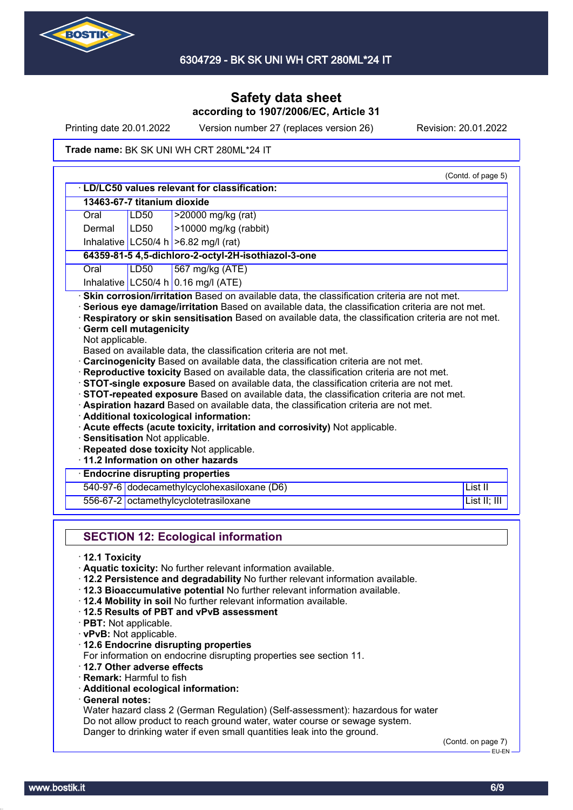

Printing date 20.01.2022 Version number 27 (replaces version 26) Revision: 20.01.2022

#### Trade name: BK SK UNI WH CRT 280ML\*24 IT

|                               | <b>LD/LC50 values relevant for classification:</b> |                                                                                                                                                                                                                                                                                                                                                                                                                                                                                                                                                                                        |              |
|-------------------------------|----------------------------------------------------|----------------------------------------------------------------------------------------------------------------------------------------------------------------------------------------------------------------------------------------------------------------------------------------------------------------------------------------------------------------------------------------------------------------------------------------------------------------------------------------------------------------------------------------------------------------------------------------|--------------|
|                               | 13463-67-7 titanium dioxide                        |                                                                                                                                                                                                                                                                                                                                                                                                                                                                                                                                                                                        |              |
| Oral                          | LD50                                               | >20000 mg/kg (rat)                                                                                                                                                                                                                                                                                                                                                                                                                                                                                                                                                                     |              |
| Dermal                        | LD50                                               | >10000 mg/kg (rabbit)                                                                                                                                                                                                                                                                                                                                                                                                                                                                                                                                                                  |              |
|                               |                                                    | Inhalative LC50/4 h $>6.82$ mg/l (rat)                                                                                                                                                                                                                                                                                                                                                                                                                                                                                                                                                 |              |
|                               |                                                    | 64359-81-5 4,5-dichloro-2-octyl-2H-isothiazol-3-one                                                                                                                                                                                                                                                                                                                                                                                                                                                                                                                                    |              |
| Oral                          | <b>LD50</b>                                        | 567 mg/kg (ATE)                                                                                                                                                                                                                                                                                                                                                                                                                                                                                                                                                                        |              |
|                               |                                                    | Inhalative LC50/4 h $0.16$ mg/l (ATE)                                                                                                                                                                                                                                                                                                                                                                                                                                                                                                                                                  |              |
|                               |                                                    | Carcinogenicity Based on available data, the classification criteria are not met.<br>Reproductive toxicity Based on available data, the classification criteria are not met.<br>STOT-single exposure Based on available data, the classification criteria are not met.<br>STOT-repeated exposure Based on available data, the classification criteria are not met.<br>· Aspiration hazard Based on available data, the classification criteria are not met.<br>· Additional toxicological information:<br>· Acute effects (acute toxicity, irritation and corrosivity) Not applicable. |              |
| Sensitisation Not applicable. |                                                    | Repeated dose toxicity Not applicable.<br>11.2 Information on other hazards                                                                                                                                                                                                                                                                                                                                                                                                                                                                                                            |              |
|                               |                                                    | <b>Endocrine disrupting properties</b>                                                                                                                                                                                                                                                                                                                                                                                                                                                                                                                                                 |              |
|                               |                                                    | 540-97-6 dodecamethylcyclohexasiloxane (D6)                                                                                                                                                                                                                                                                                                                                                                                                                                                                                                                                            | List II      |
|                               |                                                    | 556-67-2 octamethylcyclotetrasiloxane                                                                                                                                                                                                                                                                                                                                                                                                                                                                                                                                                  | List II; III |

- · **12.2 Persistence and degradability** No further relevant information available.
- · **12.3 Bioaccumulative potential** No further relevant information available.
- · **12.4 Mobility in soil** No further relevant information available.
- · **12.5 Results of PBT and vPvB assessment**
- · **PBT:** Not applicable.
- · **vPvB:** Not applicable.
- · **12.6 Endocrine disrupting properties**
- For information on endocrine disrupting properties see section 11.
- · **12.7 Other adverse effects**
- · **Remark:** Harmful to fish
- · **Additional ecological information:**
- · **General notes:**

Water hazard class 2 (German Regulation) (Self-assessment): hazardous for water Do not allow product to reach ground water, water course or sewage system. Danger to drinking water if even small quantities leak into the ground.

(Contd. on page 7) –<br>EU-EN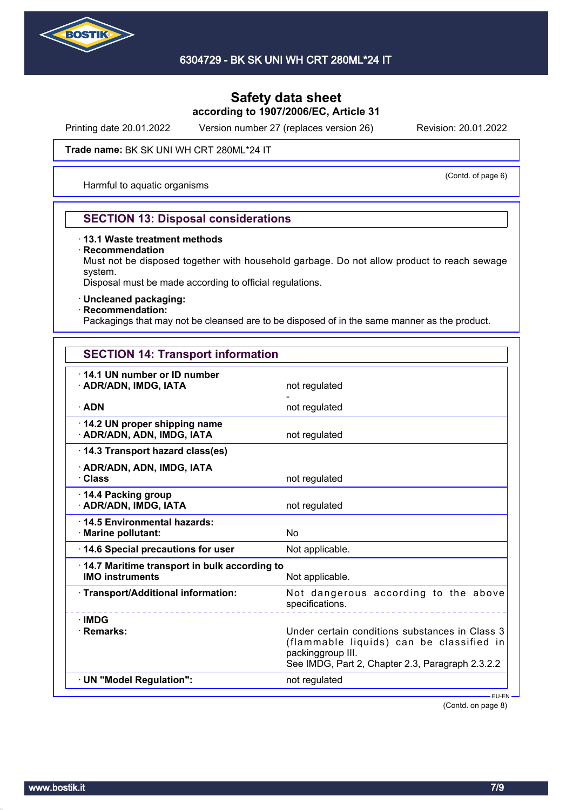

Printing date 20.01.2022 Version number 27 (replaces version 26) Revision: 20.01.2022

#### Trade name: BK SK UNI WH CRT 280ML\*24 IT

Harmful to aquatic organisms

(Contd. of page 6)

### **SECTION 13: Disposal considerations**

### · **13.1 Waste treatment methods**

#### · **Recommendation**

Must not be disposed together with household garbage. Do not allow product to reach sewage system.

Disposal must be made according to official regulations.

### · **Uncleaned packaging:**

### · **Recommendation:**

Packagings that may not be cleansed are to be disposed of in the same manner as the product.

| <b>SECTION 14: Transport information</b>                                                  |                                                                                                                                                                     |
|-------------------------------------------------------------------------------------------|---------------------------------------------------------------------------------------------------------------------------------------------------------------------|
| 14.1 UN number or ID number<br>· ADR/ADN, IMDG, IATA                                      | not regulated                                                                                                                                                       |
| $\cdot$ ADN                                                                               | not regulated                                                                                                                                                       |
| 14.2 UN proper shipping name<br>· ADR/ADN, ADN, IMDG, IATA                                | not regulated                                                                                                                                                       |
| 14.3 Transport hazard class(es)                                                           |                                                                                                                                                                     |
| · ADR/ADN, ADN, IMDG, IATA<br>· Class                                                     | not regulated                                                                                                                                                       |
| 14.4 Packing group<br>· ADR/ADN, IMDG, IATA                                               | not regulated                                                                                                                                                       |
| 14.5 Environmental hazards:<br>· Marine pollutant:                                        | No                                                                                                                                                                  |
| 14.6 Special precautions for user                                                         | Not applicable.                                                                                                                                                     |
| 14.7 Maritime transport in bulk according to<br><b>IMO instruments</b><br>Not applicable. |                                                                                                                                                                     |
| · Transport/Additional information:                                                       | Not dangerous according to the above<br>specifications.                                                                                                             |
| $\cdot$ IMDG<br>· Remarks:                                                                | Under certain conditions substances in Class 3<br>(flammable liquids) can be classified in<br>packinggroup III.<br>See IMDG, Part 2, Chapter 2.3, Paragraph 2.3.2.2 |
| · UN "Model Regulation":                                                                  | not regulated                                                                                                                                                       |
|                                                                                           | EU-EN                                                                                                                                                               |

(Contd. on page 8)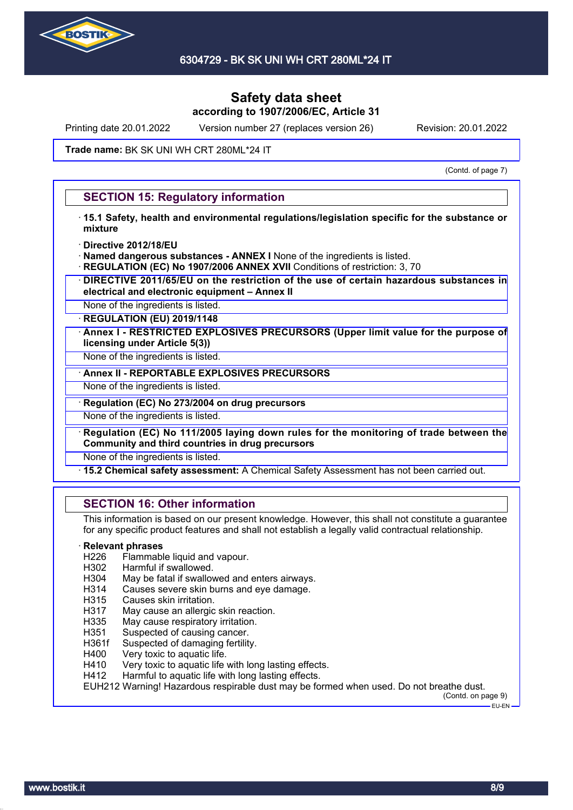

Printing date 20.01.2022 Version number 27 (replaces version 26) Revision: 20.01.2022

### Trade name: BK SK UNI WH CRT 280ML\*24 IT

(Contd. of page 7)

### **SECTION 15: Regulatory information**

- · **15.1 Safety, health and environmental regulations/legislation specific for the substance or mixture**
- · **Directive 2012/18/EU**
- · **Named dangerous substances ANNEX I** None of the ingredients is listed.
- **REGULATION (EC) No 1907/2006 ANNEX XVII** Conditions of restriction: 3, 70
- · **DIRECTIVE 2011/65/EU on the restriction of the use of certain hazardous substances in electrical and electronic equipment – Annex II**
- None of the ingredients is listed.

· **REGULATION (EU) 2019/1148**

· **Annex I - RESTRICTED EXPLOSIVES PRECURSORS (Upper limit value for the purpose of licensing under Article 5(3))**

None of the ingredients is listed.

· **Annex II - REPORTABLE EXPLOSIVES PRECURSORS**

None of the ingredients is listed.

· **Regulation (EC) No 273/2004 on drug precursors**

None of the ingredients is listed.

· **Regulation (EC) No 111/2005 laying down rules for the monitoring of trade between the Community and third countries in drug precursors**

None of the ingredients is listed.

· **15.2 Chemical safety assessment:** A Chemical Safety Assessment has not been carried out.

## **SECTION 16: Other information**

This information is based on our present knowledge. However, this shall not constitute a guarantee for any specific product features and shall not establish a legally valid contractual relationship.

#### · **Relevant phrases**

- H226 Flammable liquid and vapour.
- H302 Harmful if swallowed.
- H304 May be fatal if swallowed and enters airways.
- H314 Causes severe skin burns and eye damage.
- H315 Causes skin irritation.
- H317 May cause an allergic skin reaction.
- H335 May cause respiratory irritation.
- H351 Suspected of causing cancer.
- H361f Suspected of damaging fertility.
- H400 Very toxic to aquatic life.
- H410 Very toxic to aquatic life with long lasting effects.
- H412 Harmful to aquatic life with long lasting effects.

EUH212 Warning! Hazardous respirable dust may be formed when used. Do not breathe dust.

(Contd. on page 9) EU-EN